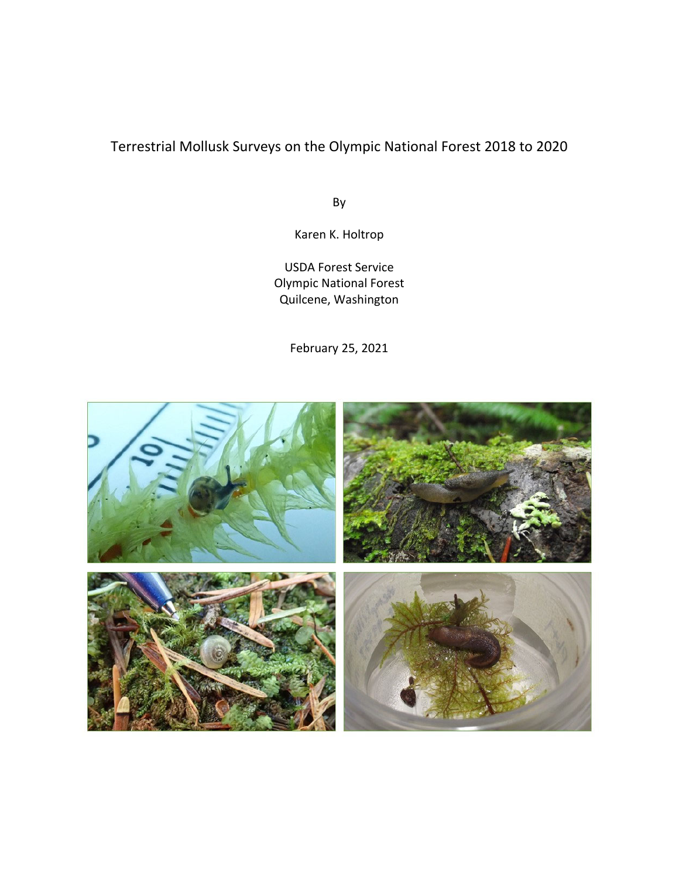# Terrestrial Mollusk Surveys on the Olympic National Forest 2018 to 2020

By

Karen K. Holtrop

USDA Forest Service Olympic National Forest Quilcene, Washington

February 25, 2021

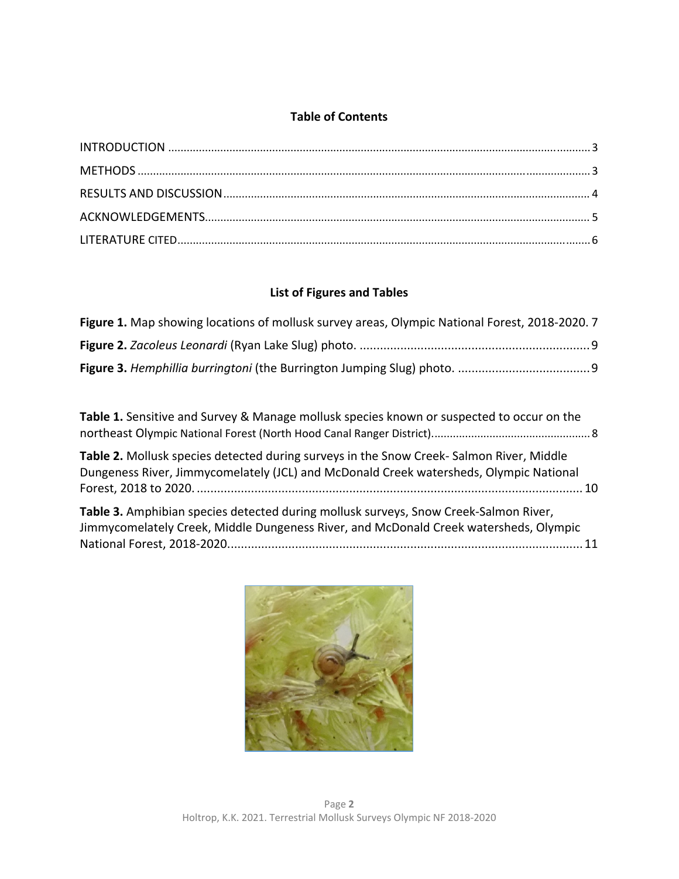## **Table of Contents**

## **List of Figures and Tables**

| Figure 1. Map showing locations of mollusk survey areas, Olympic National Forest, 2018-2020. 7 |  |
|------------------------------------------------------------------------------------------------|--|
|                                                                                                |  |
|                                                                                                |  |

**Table 1.** Sensitive and Survey & Manage mollusk species known or suspected to occur on the northeast Olympic National Forest (North Hood Canal Ranger District).................................................... 8 **Table 2.** Mollusk species detected during surveys in the Snow Creek‐ Salmon River, Middle Dungeness River, Jimmycomelately (JCL) and McDonald Creek watersheds, Olympic National Forest, 2018 to 2020. .................................................................................................................. 10 **Table 3.** Amphibian species detected during mollusk surveys, Snow Creek‐Salmon River, Jimmycomelately Creek, Middle Dungeness River, and McDonald Creek watersheds, Olympic National Forest, 2018‐2020......................................................................................................... 11

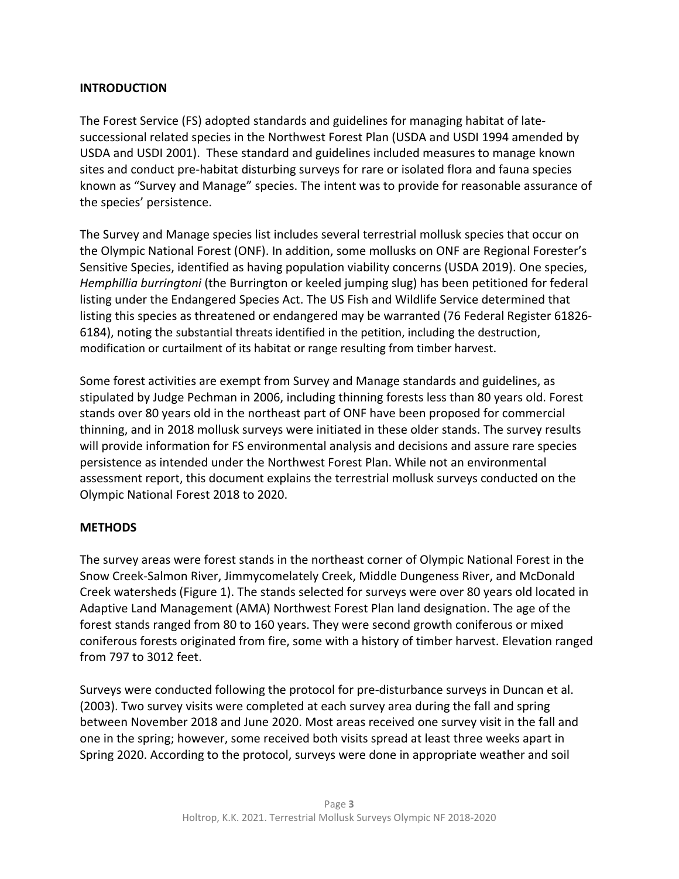## **INTRODUCTION**

The Forest Service (FS) adopted standards and guidelines for managing habitat of late‐ successional related species in the Northwest Forest Plan (USDA and USDI 1994 amended by USDA and USDI 2001). These standard and guidelines included measures to manage known sites and conduct pre‐habitat disturbing surveys for rare or isolated flora and fauna species known as "Survey and Manage" species. The intent was to provide for reasonable assurance of the species' persistence.

The Survey and Manage species list includes several terrestrial mollusk species that occur on the Olympic National Forest (ONF). In addition, some mollusks on ONF are Regional Forester's Sensitive Species, identified as having population viability concerns (USDA 2019). One species, *Hemphillia burringtoni* (the Burrington or keeled jumping slug) has been petitioned for federal listing under the Endangered Species Act. The US Fish and Wildlife Service determined that listing this species as threatened or endangered may be warranted (76 Federal Register 61826‐ 6184), noting the substantial threats identified in the petition, including the destruction, modification or curtailment of its habitat or range resulting from timber harvest.

Some forest activities are exempt from Survey and Manage standards and guidelines, as stipulated by Judge Pechman in 2006, including thinning forests less than 80 years old. Forest stands over 80 years old in the northeast part of ONF have been proposed for commercial thinning, and in 2018 mollusk surveys were initiated in these older stands. The survey results will provide information for FS environmental analysis and decisions and assure rare species persistence as intended under the Northwest Forest Plan. While not an environmental assessment report, this document explains the terrestrial mollusk surveys conducted on the Olympic National Forest 2018 to 2020.

#### **METHODS**

The survey areas were forest stands in the northeast corner of Olympic National Forest in the Snow Creek‐Salmon River, Jimmycomelately Creek, Middle Dungeness River, and McDonald Creek watersheds (Figure 1). The stands selected for surveys were over 80 years old located in Adaptive Land Management (AMA) Northwest Forest Plan land designation. The age of the forest stands ranged from 80 to 160 years. They were second growth coniferous or mixed coniferous forests originated from fire, some with a history of timber harvest. Elevation ranged from 797 to 3012 feet.

Surveys were conducted following the protocol for pre‐disturbance surveys in Duncan et al. (2003). Two survey visits were completed at each survey area during the fall and spring between November 2018 and June 2020. Most areas received one survey visit in the fall and one in the spring; however, some received both visits spread at least three weeks apart in Spring 2020. According to the protocol, surveys were done in appropriate weather and soil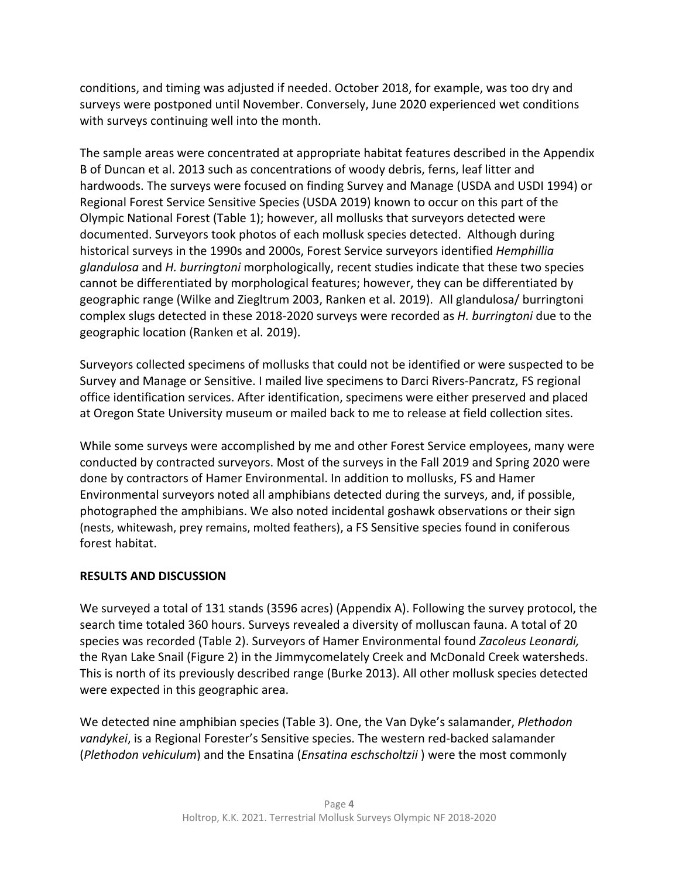conditions, and timing was adjusted if needed. October 2018, for example, was too dry and surveys were postponed until November. Conversely, June 2020 experienced wet conditions with surveys continuing well into the month.

The sample areas were concentrated at appropriate habitat features described in the Appendix B of Duncan et al. 2013 such as concentrations of woody debris, ferns, leaf litter and hardwoods. The surveys were focused on finding Survey and Manage (USDA and USDI 1994) or Regional Forest Service Sensitive Species (USDA 2019) known to occur on this part of the Olympic National Forest (Table 1); however, all mollusks that surveyors detected were documented. Surveyors took photos of each mollusk species detected. Although during historical surveys in the 1990s and 2000s, Forest Service surveyors identified *Hemphillia glandulosa* and *H. burringtoni* morphologically, recent studies indicate that these two species cannot be differentiated by morphological features; however, they can be differentiated by geographic range (Wilke and Ziegltrum 2003, Ranken et al. 2019). All glandulosa/ burringtoni complex slugs detected in these 2018‐2020 surveys were recorded as *H. burringtoni* due to the geographic location (Ranken et al. 2019).

Surveyors collected specimens of mollusks that could not be identified or were suspected to be Survey and Manage or Sensitive. I mailed live specimens to Darci Rivers‐Pancratz, FS regional office identification services. After identification, specimens were either preserved and placed at Oregon State University museum or mailed back to me to release at field collection sites.

While some surveys were accomplished by me and other Forest Service employees, many were conducted by contracted surveyors. Most of the surveys in the Fall 2019 and Spring 2020 were done by contractors of Hamer Environmental. In addition to mollusks, FS and Hamer Environmental surveyors noted all amphibians detected during the surveys, and, if possible, photographed the amphibians. We also noted incidental goshawk observations or their sign (nests, whitewash, prey remains, molted feathers), a FS Sensitive species found in coniferous forest habitat.

#### **RESULTS AND DISCUSSION**

We surveyed a total of 131 stands (3596 acres) (Appendix A). Following the survey protocol, the search time totaled 360 hours. Surveys revealed a diversity of molluscan fauna. A total of 20 species was recorded (Table 2). Surveyors of Hamer Environmental found *Zacoleus Leonardi,* the Ryan Lake Snail (Figure 2) in the Jimmycomelately Creek and McDonald Creek watersheds. This is north of its previously described range (Burke 2013). All other mollusk species detected were expected in this geographic area.

We detected nine amphibian species (Table 3). One, the Van Dyke's salamander, *Plethodon vandykei*, is a Regional Forester's Sensitive species. The western red‐backed salamander (*Plethodon vehiculum*) and the Ensatina (*Ensatina eschscholtzii* ) were the most commonly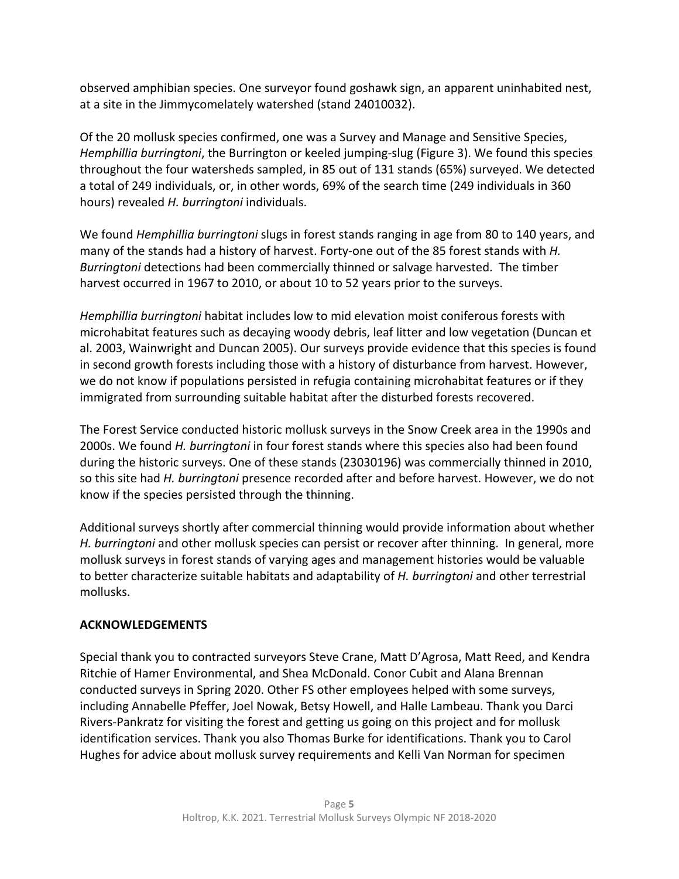observed amphibian species. One surveyor found goshawk sign, an apparent uninhabited nest, at a site in the Jimmycomelately watershed (stand 24010032).

Of the 20 mollusk species confirmed, one was a Survey and Manage and Sensitive Species, *Hemphillia burringtoni*, the Burrington or keeled jumping‐slug (Figure 3). We found this species throughout the four watersheds sampled, in 85 out of 131 stands (65%) surveyed. We detected a total of 249 individuals, or, in other words, 69% of the search time (249 individuals in 360 hours) revealed *H. burringtoni* individuals.

We found *Hemphillia burringtoni* slugs in forest stands ranging in age from 80 to 140 years, and many of the stands had a history of harvest. Forty‐one out of the 85 forest stands with *H. Burringtoni* detections had been commercially thinned or salvage harvested. The timber harvest occurred in 1967 to 2010, or about 10 to 52 years prior to the surveys.

*Hemphillia burringtoni* habitat includes low to mid elevation moist coniferous forests with microhabitat features such as decaying woody debris, leaf litter and low vegetation (Duncan et al. 2003, Wainwright and Duncan 2005). Our surveys provide evidence that this species is found in second growth forests including those with a history of disturbance from harvest. However, we do not know if populations persisted in refugia containing microhabitat features or if they immigrated from surrounding suitable habitat after the disturbed forests recovered.

The Forest Service conducted historic mollusk surveys in the Snow Creek area in the 1990s and 2000s. We found *H. burringtoni* in four forest stands where this species also had been found during the historic surveys. One of these stands (23030196) was commercially thinned in 2010, so this site had *H. burringtoni* presence recorded after and before harvest. However, we do not know if the species persisted through the thinning.

Additional surveys shortly after commercial thinning would provide information about whether *H. burringtoni* and other mollusk species can persist or recover after thinning. In general, more mollusk surveys in forest stands of varying ages and management histories would be valuable to better characterize suitable habitats and adaptability of *H. burringtoni* and other terrestrial mollusks.

# **ACKNOWLEDGEMENTS**

Special thank you to contracted surveyors Steve Crane, Matt D'Agrosa, Matt Reed, and Kendra Ritchie of Hamer Environmental, and Shea McDonald. Conor Cubit and Alana Brennan conducted surveys in Spring 2020. Other FS other employees helped with some surveys, including Annabelle Pfeffer, Joel Nowak, Betsy Howell, and Halle Lambeau. Thank you Darci Rivers‐Pankratz for visiting the forest and getting us going on this project and for mollusk identification services. Thank you also Thomas Burke for identifications. Thank you to Carol Hughes for advice about mollusk survey requirements and Kelli Van Norman for specimen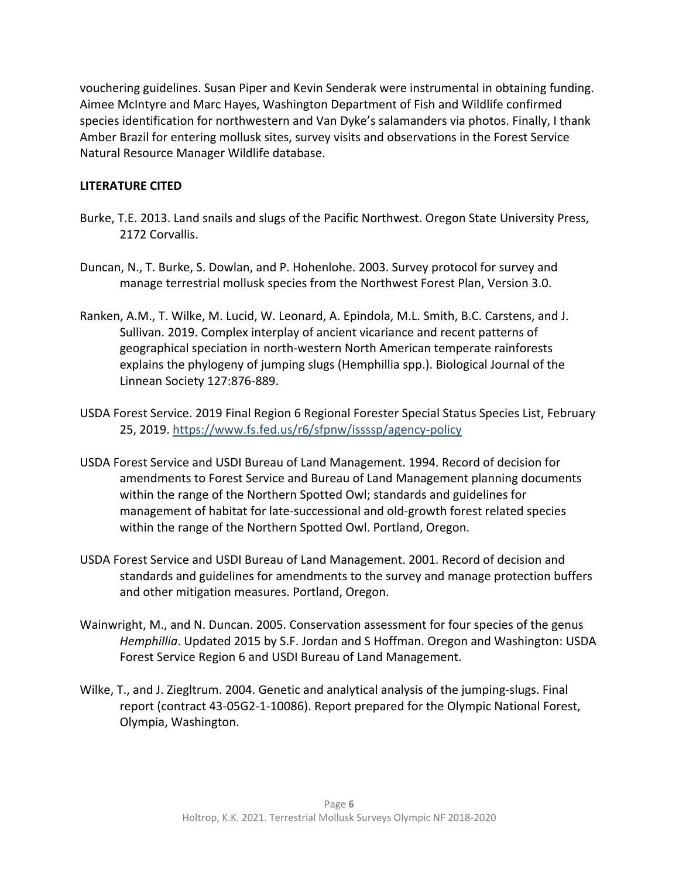vouchering guidelines. Susan Piper and Kevin Senderak were instrumental in obtaining funding. Aimee McIntyre and Marc Hayes, Washington Department of Fish and Wildlife confirmed species identification for northwestern and Van Dyke's salamanders via photos. Finally, I thank Amber Brazil for entering mollusk sites, survey visits and observations in the Forest Service Natural Resource Manager Wildlife database.

# **LITERATURE CITED**

- Burke, T.E. 2013. Land snails and slugs of the Pacific Northwest. Oregon State University Press, 2172 Corvallis.
- Duncan, N., T. Burke, S. Dowlan, and P. Hohenlohe. 2003. Survey protocol for survey and manage terrestrial mollusk species from the Northwest Forest Plan, Version 3.0.
- Ranken, A.M., T. Wilke, M. Lucid, W. Leonard, A. Epindola, M.L. Smith, B.C. Carstens, and J. Sullivan. 2019. Complex interplay of ancient vicariance and recent patterns of geographical speciation in north‐western North American temperate rainforests explains the phylogeny of jumping slugs (Hemphillia spp.). Biological Journal of the Linnean Society 127:876‐889.
- USDA Forest Service. 2019 Final Region 6 Regional Forester Special Status Species List, February 25, 2019. https://www.fs.fed.us/r6/sfpnw/issssp/agency‐policy
- USDA Forest Service and USDI Bureau of Land Management. 1994. Record of decision for amendments to Forest Service and Bureau of Land Management planning documents within the range of the Northern Spotted Owl; standards and guidelines for management of habitat for late‐successional and old‐growth forest related species within the range of the Northern Spotted Owl. Portland, Oregon.
- USDA Forest Service and USDI Bureau of Land Management. 2001. Record of decision and standards and guidelines for amendments to the survey and manage protection buffers and other mitigation measures. Portland, Oregon.
- Wainwright, M., and N. Duncan. 2005. Conservation assessment for four species of the genus *Hemphillia*. Updated 2015 by S.F. Jordan and S Hoffman. Oregon and Washington: USDA Forest Service Region 6 and USDI Bureau of Land Management.
- Wilke, T., and J. Ziegltrum. 2004. Genetic and analytical analysis of the jumping-slugs. Final report (contract 43‐05G2‐1‐10086). Report prepared for the Olympic National Forest, Olympia, Washington.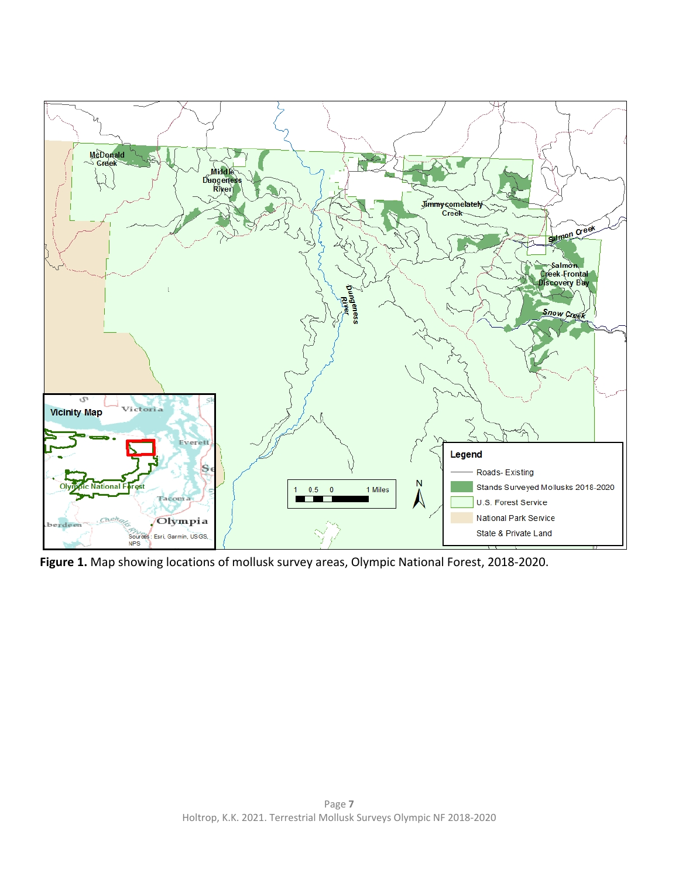

**Figure 1.** Map showing locations of mollusk survey areas, Olympic National Forest, 2018‐2020.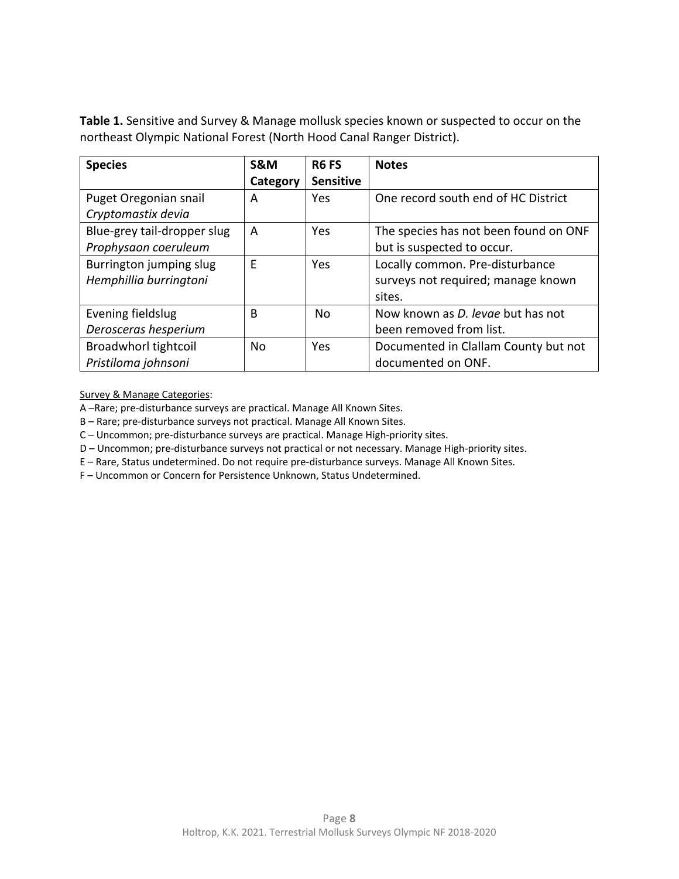**Table 1.** Sensitive and Survey & Manage mollusk species known or suspected to occur on the northeast Olympic National Forest (North Hood Canal Ranger District).

| <b>Species</b>              | S&M       | R <sub>6</sub> FS | <b>Notes</b>                             |
|-----------------------------|-----------|-------------------|------------------------------------------|
|                             | Category  | <b>Sensitive</b>  |                                          |
| Puget Oregonian snail       | А         | Yes               | One record south end of HC District      |
| Cryptomastix devia          |           |                   |                                          |
| Blue-grey tail-dropper slug | A         | <b>Yes</b>        | The species has not been found on ONF    |
| Prophysaon coeruleum        |           |                   | but is suspected to occur.               |
| Burrington jumping slug     | E         | Yes               | Locally common. Pre-disturbance          |
| Hemphillia burringtoni      |           |                   | surveys not required; manage known       |
|                             |           |                   | sites.                                   |
| Evening fieldslug           | B         | No                | Now known as <i>D. levge</i> but has not |
| Derosceras hesperium        |           |                   | been removed from list.                  |
| Broadwhorl tightcoil        | <b>No</b> | Yes               | Documented in Clallam County but not     |
| Pristiloma johnsoni         |           |                   | documented on ONF.                       |

Survey & Manage Categories:

A –Rare; pre‐disturbance surveys are practical. Manage All Known Sites.

B – Rare; pre‐disturbance surveys not practical. Manage All Known Sites.

C – Uncommon; pre‐disturbance surveys are practical. Manage High‐priority sites.

D – Uncommon; pre-disturbance surveys not practical or not necessary. Manage High-priority sites.

E – Rare, Status undetermined. Do not require pre‐disturbance surveys. Manage All Known Sites.

F – Uncommon or Concern for Persistence Unknown, Status Undetermined.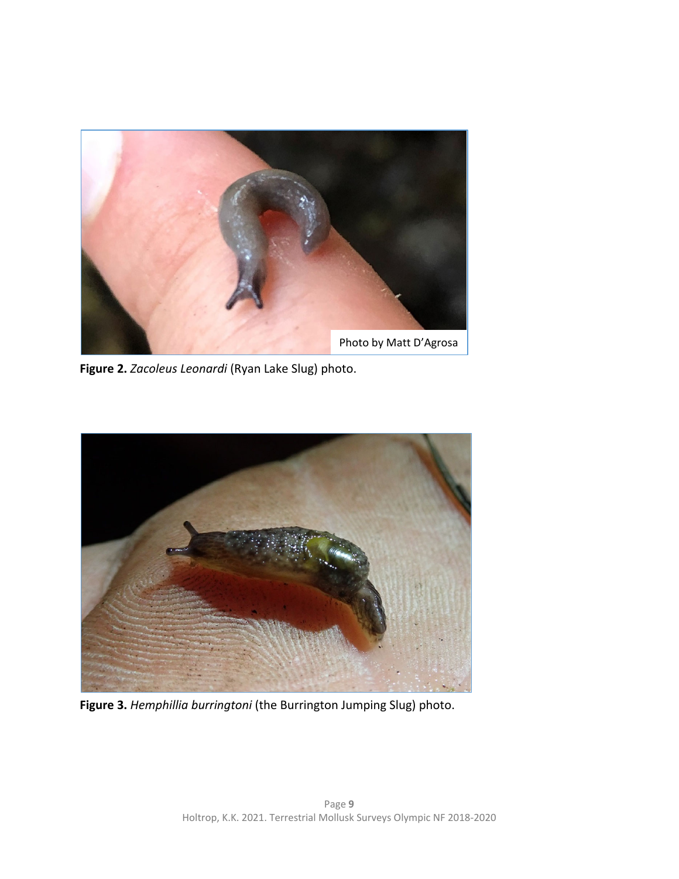

**Figure 2.** *Zacoleus Leonardi* (Ryan Lake Slug) photo.



**Figure 3.** *Hemphillia burringtoni* (the Burrington Jumping Slug) photo.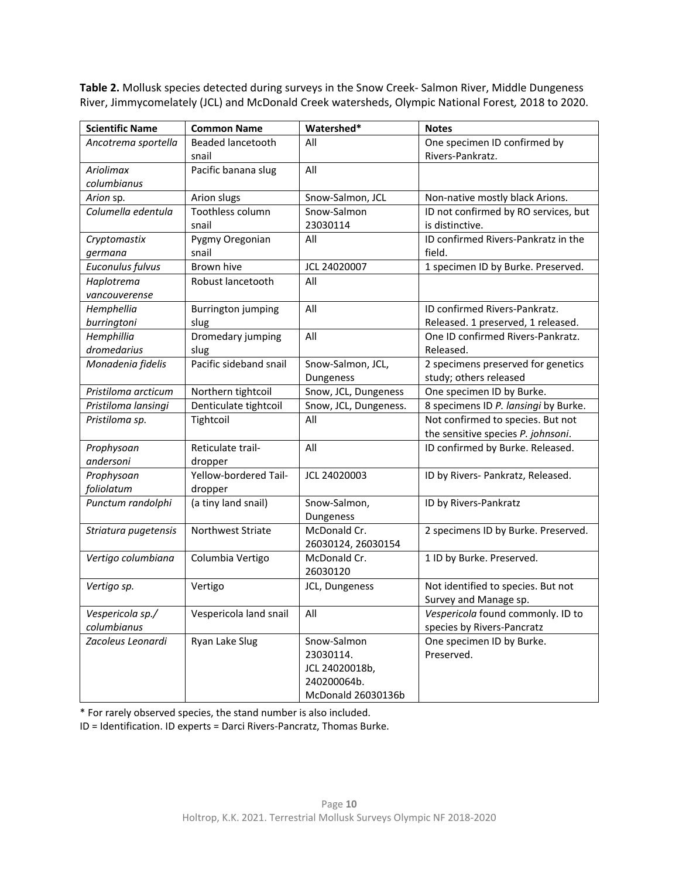**Table 2.** Mollusk species detected during surveys in the Snow Creek‐ Salmon River, Middle Dungeness River, Jimmycomelately (JCL) and McDonald Creek watersheds, Olympic National Forest*,* 2018 to 2020.

| <b>Scientific Name</b> | <b>Common Name</b>        | Watershed*            | <b>Notes</b>                         |
|------------------------|---------------------------|-----------------------|--------------------------------------|
| Ancotrema sportella    | <b>Beaded lancetooth</b>  | All                   | One specimen ID confirmed by         |
|                        | snail                     |                       | Rivers-Pankratz.                     |
| Ariolimax              | Pacific banana slug       | All                   |                                      |
| columbianus            |                           |                       |                                      |
| Arion sp.              | Arion slugs               | Snow-Salmon, JCL      | Non-native mostly black Arions.      |
| Columella edentula     | Toothless column          | Snow-Salmon           | ID not confirmed by RO services, but |
|                        | snail                     | 23030114              | is distinctive.                      |
| Cryptomastix           | Pygmy Oregonian           | All                   | ID confirmed Rivers-Pankratz in the  |
| germana                | snail                     |                       | field.                               |
| Euconulus fulvus       | Brown hive                | JCL 24020007          | 1 specimen ID by Burke. Preserved.   |
| Haplotrema             | Robust lancetooth         | All                   |                                      |
| vancouverense          |                           |                       |                                      |
| Hemphellia             | <b>Burrington jumping</b> | All                   | ID confirmed Rivers-Pankratz.        |
| burringtoni            | slug                      |                       | Released. 1 preserved, 1 released.   |
| Hemphillia             | Dromedary jumping         | All                   | One ID confirmed Rivers-Pankratz.    |
| dromedarius            | slug                      |                       | Released.                            |
| Monadenia fidelis      | Pacific sideband snail    | Snow-Salmon, JCL,     | 2 specimens preserved for genetics   |
|                        |                           | Dungeness             | study; others released               |
| Pristiloma arcticum    | Northern tightcoil        | Snow, JCL, Dungeness  | One specimen ID by Burke.            |
| Pristiloma lansingi    | Denticulate tightcoil     | Snow, JCL, Dungeness. | 8 specimens ID P. lansingi by Burke. |
| Pristiloma sp.         | Tightcoil                 | All                   | Not confirmed to species. But not    |
|                        |                           |                       | the sensitive species P. johnsoni.   |
| Prophysoan             | Reticulate trail-         | All                   | ID confirmed by Burke. Released.     |
| andersoni              | dropper                   |                       |                                      |
| Prophysoan             | Yellow-bordered Tail-     | JCL 24020003          | ID by Rivers- Pankratz, Released.    |
| foliolatum             | dropper                   |                       |                                      |
| Punctum randolphi      | (a tiny land snail)       | Snow-Salmon,          | ID by Rivers-Pankratz                |
|                        |                           | Dungeness             |                                      |
| Striatura pugetensis   | Northwest Striate         | McDonald Cr.          | 2 specimens ID by Burke. Preserved.  |
|                        |                           | 26030124, 26030154    |                                      |
| Vertigo columbiana     | Columbia Vertigo          | McDonald Cr.          | 1 ID by Burke. Preserved.            |
|                        |                           | 26030120              |                                      |
| Vertigo sp.            | Vertigo                   | JCL, Dungeness        | Not identified to species. But not   |
|                        |                           |                       | Survey and Manage sp.                |
| Vespericola sp./       | Vespericola land snail    | All                   | Vespericola found commonly. ID to    |
| columbianus            |                           |                       | species by Rivers-Pancratz           |
| Zacoleus Leonardi      | Ryan Lake Slug            | Snow-Salmon           | One specimen ID by Burke.            |
|                        |                           | 23030114.             | Preserved.                           |
|                        |                           | JCL 24020018b,        |                                      |
|                        |                           | 240200064b.           |                                      |
|                        |                           | McDonald 26030136b    |                                      |

\* For rarely observed species, the stand number is also included.

ID = Identification. ID experts = Darci Rivers‐Pancratz, Thomas Burke.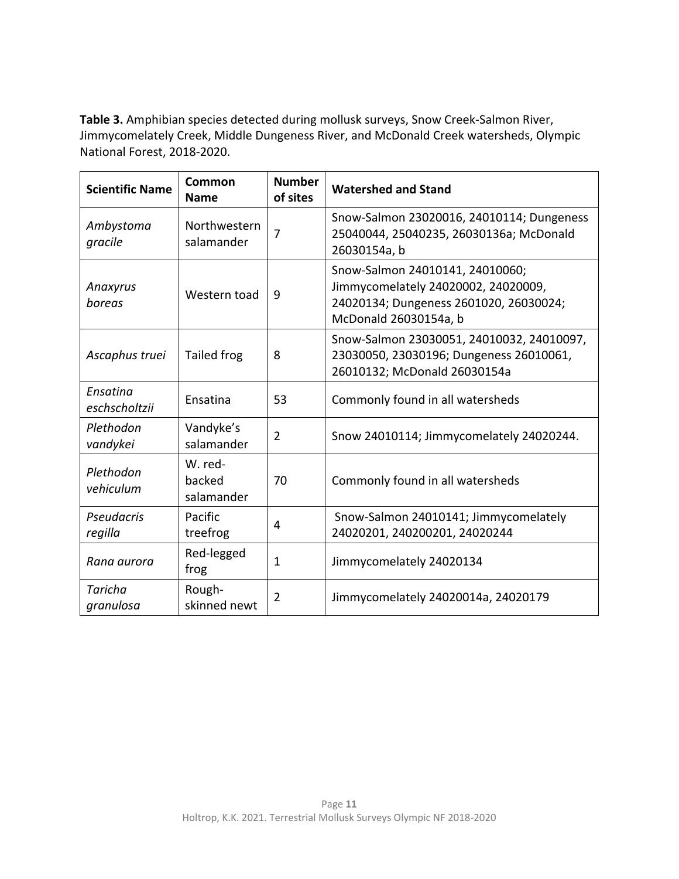**Table 3.** Amphibian species detected during mollusk surveys, Snow Creek‐Salmon River, Jimmycomelately Creek, Middle Dungeness River, and McDonald Creek watersheds, Olympic National Forest, 2018‐2020.

| <b>Scientific Name</b>    | Common<br><b>Name</b>           | <b>Number</b><br>of sites | <b>Watershed and Stand</b>                                                                                                                |
|---------------------------|---------------------------------|---------------------------|-------------------------------------------------------------------------------------------------------------------------------------------|
| Ambystoma<br>gracile      | Northwestern<br>salamander      | $\overline{7}$            | Snow-Salmon 23020016, 24010114; Dungeness<br>25040044, 25040235, 26030136a; McDonald<br>26030154a, b                                      |
| Anaxyrus<br>boreas        | Western toad                    | 9                         | Snow-Salmon 24010141, 24010060;<br>Jimmycomelately 24020002, 24020009,<br>24020134; Dungeness 2601020, 26030024;<br>McDonald 26030154a, b |
| Ascaphus truei            | Tailed frog                     | 8                         | Snow-Salmon 23030051, 24010032, 24010097,<br>23030050, 23030196; Dungeness 26010061,<br>26010132; McDonald 26030154a                      |
| Ensatina<br>eschscholtzii | Ensatina                        | 53                        | Commonly found in all watersheds                                                                                                          |
| Plethodon<br>vandykei     | Vandyke's<br>salamander         | $\overline{2}$            | Snow 24010114; Jimmycomelately 24020244.                                                                                                  |
| Plethodon<br>vehiculum    | W. red-<br>backed<br>salamander | 70                        | Commonly found in all watersheds                                                                                                          |
| Pseudacris<br>regilla     | Pacific<br>treefrog             | 4                         | Snow-Salmon 24010141; Jimmycomelately<br>24020201, 240200201, 24020244                                                                    |
| Rana aurora               | Red-legged<br>frog              | $\mathbf{1}$              | Jimmycomelately 24020134                                                                                                                  |
| Taricha<br>granulosa      | Rough-<br>skinned newt          | 2                         | Jimmycomelately 24020014a, 24020179                                                                                                       |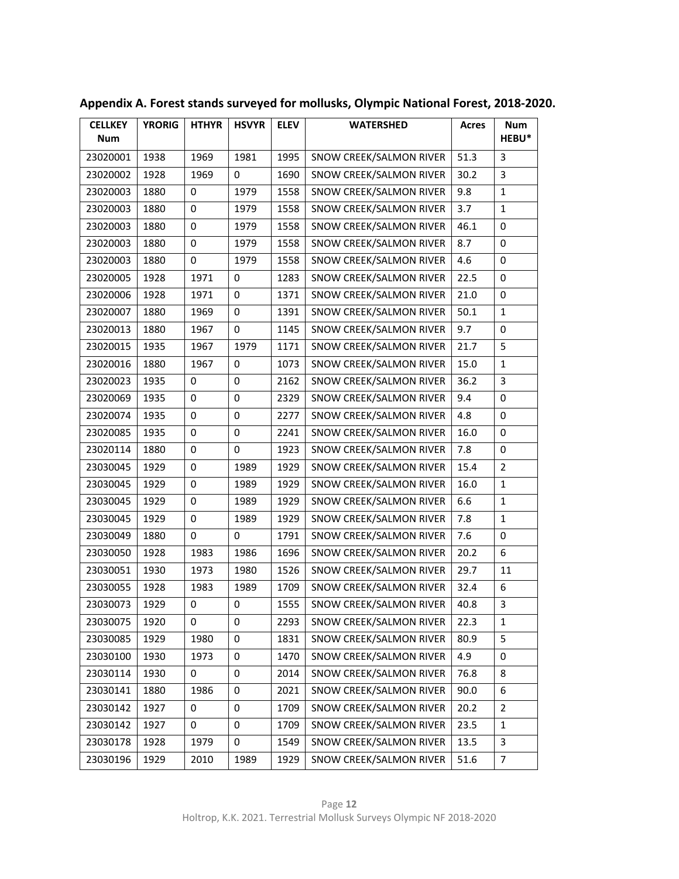| <b>CELLKEY</b><br><b>Num</b> | <b>YRORIG</b> | <b>HTHYR</b> | <b>HSVYR</b> | <b>ELEV</b> | <b>WATERSHED</b>        | <b>Acres</b> | <b>Num</b><br><b>HEBU*</b> |
|------------------------------|---------------|--------------|--------------|-------------|-------------------------|--------------|----------------------------|
| 23020001                     | 1938          | 1969         | 1981         | 1995        | SNOW CREEK/SALMON RIVER | 51.3         | 3                          |
|                              |               |              |              |             |                         |              | 3                          |
| 23020002                     | 1928          | 1969         | 0            | 1690        | SNOW CREEK/SALMON RIVER | 30.2         |                            |
| 23020003                     | 1880          | 0            | 1979         | 1558        | SNOW CREEK/SALMON RIVER | 9.8          | 1                          |
| 23020003                     | 1880          | $\mathbf 0$  | 1979         | 1558        | SNOW CREEK/SALMON RIVER | 3.7          | $\mathbf{1}$               |
| 23020003                     | 1880          | 0            | 1979         | 1558        | SNOW CREEK/SALMON RIVER | 46.1         | 0                          |
| 23020003                     | 1880          | 0            | 1979         | 1558        | SNOW CREEK/SALMON RIVER | 8.7          | 0                          |
| 23020003                     | 1880          | $\mathbf 0$  | 1979         | 1558        | SNOW CREEK/SALMON RIVER | 4.6          | $\mathbf 0$                |
| 23020005                     | 1928          | 1971         | 0            | 1283        | SNOW CREEK/SALMON RIVER | 22.5         | 0                          |
| 23020006                     | 1928          | 1971         | 0            | 1371        | SNOW CREEK/SALMON RIVER | 21.0         | 0                          |
| 23020007                     | 1880          | 1969         | 0            | 1391        | SNOW CREEK/SALMON RIVER | 50.1         | $\mathbf{1}$               |
| 23020013                     | 1880          | 1967         | 0            | 1145        | SNOW CREEK/SALMON RIVER | 9.7          | 0                          |
| 23020015                     | 1935          | 1967         | 1979         | 1171        | SNOW CREEK/SALMON RIVER | 21.7         | 5                          |
| 23020016                     | 1880          | 1967         | 0            | 1073        | SNOW CREEK/SALMON RIVER | 15.0         | 1                          |
| 23020023                     | 1935          | 0            | 0            | 2162        | SNOW CREEK/SALMON RIVER | 36.2         | 3                          |
| 23020069                     | 1935          | 0            | 0            | 2329        | SNOW CREEK/SALMON RIVER | 9.4          | 0                          |
| 23020074                     | 1935          | $\pmb{0}$    | 0            | 2277        | SNOW CREEK/SALMON RIVER | 4.8          | $\pmb{0}$                  |
| 23020085                     | 1935          | 0            | 0            | 2241        | SNOW CREEK/SALMON RIVER | 16.0         | 0                          |
| 23020114                     | 1880          | 0            | 0            | 1923        | SNOW CREEK/SALMON RIVER | 7.8          | 0                          |
| 23030045                     | 1929          | $\mathbf 0$  | 1989         | 1929        | SNOW CREEK/SALMON RIVER | 15.4         | $\overline{2}$             |
| 23030045                     | 1929          | 0            | 1989         | 1929        | SNOW CREEK/SALMON RIVER | 16.0         | 1                          |
| 23030045                     | 1929          | 0            | 1989         | 1929        | SNOW CREEK/SALMON RIVER | 6.6          | $\mathbf{1}$               |
| 23030045                     | 1929          | $\mathbf 0$  | 1989         | 1929        | SNOW CREEK/SALMON RIVER | 7.8          | $\mathbf{1}$               |
| 23030049                     | 1880          | 0            | 0            | 1791        | SNOW CREEK/SALMON RIVER | 7.6          | 0                          |
| 23030050                     | 1928          | 1983         | 1986         | 1696        | SNOW CREEK/SALMON RIVER | 20.2         | 6                          |
| 23030051                     | 1930          | 1973         | 1980         | 1526        | SNOW CREEK/SALMON RIVER | 29.7         | 11                         |
| 23030055                     | 1928          | 1983         | 1989         | 1709        | SNOW CREEK/SALMON RIVER | 32.4         | 6                          |
| 23030073                     | 1929          | 0            | 0            | 1555        | SNOW CREEK/SALMON RIVER | 40.8         | 3                          |
| 23030075                     | 1920          | 0            | 0            | 2293        | SNOW CREEK/SALMON RIVER | 22.3         | $\mathbf 1$                |
| 23030085                     | 1929          | 1980         | 0            | 1831        | SNOW CREEK/SALMON RIVER | 80.9         | 5                          |
| 23030100                     | 1930          | 1973         | 0            | 1470        | SNOW CREEK/SALMON RIVER | 4.9          | 0                          |
| 23030114                     | 1930          | 0            | 0            | 2014        | SNOW CREEK/SALMON RIVER | 76.8         | 8                          |
| 23030141                     | 1880          | 1986         | 0            | 2021        | SNOW CREEK/SALMON RIVER | 90.0         | 6                          |
| 23030142                     | 1927          | 0            | 0            | 1709        | SNOW CREEK/SALMON RIVER | 20.2         | $\overline{2}$             |
| 23030142                     | 1927          | 0            | 0            | 1709        | SNOW CREEK/SALMON RIVER | 23.5         | $\mathbf{1}$               |
| 23030178                     | 1928          | 1979         | 0            | 1549        | SNOW CREEK/SALMON RIVER | 13.5         | 3                          |
| 23030196                     | 1929          | 2010         | 1989         | 1929        | SNOW CREEK/SALMON RIVER | 51.6         | $\overline{7}$             |

**Appendix A. Forest stands surveyed for mollusks, Olympic National Forest, 2018‐2020.**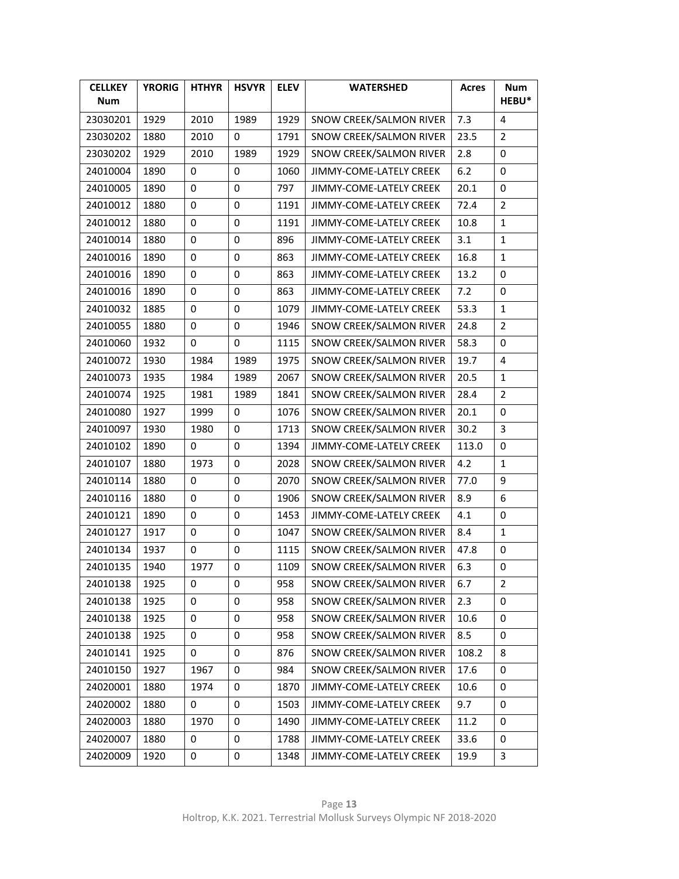| <b>CELLKEY</b><br><b>Num</b> | <b>YRORIG</b> | <b>HTHYR</b> | <b>HSVYR</b> | <b>ELEV</b> | <b>WATERSHED</b>               | <b>Acres</b> | <b>Num</b><br>HEBU* |
|------------------------------|---------------|--------------|--------------|-------------|--------------------------------|--------------|---------------------|
| 23030201                     | 1929          | 2010         | 1989         | 1929        | SNOW CREEK/SALMON RIVER        | 7.3          | 4                   |
| 23030202                     | 1880          | 2010         | 0            | 1791        | SNOW CREEK/SALMON RIVER        | 23.5         | $\overline{2}$      |
| 23030202                     | 1929          | 2010         | 1989         | 1929        | <b>SNOW CREEK/SALMON RIVER</b> | 2.8          | 0                   |
| 24010004                     | 1890          | 0            | 0            | 1060        | JIMMY-COME-LATELY CREEK        | 6.2          | 0                   |
| 24010005                     | 1890          | 0            | 0            | 797         | JIMMY-COME-LATELY CREEK        | 20.1         | 0                   |
| 24010012                     | 1880          | 0            | 0            | 1191        | JIMMY-COME-LATELY CREEK        | 72.4         | 2                   |
| 24010012                     | 1880          | 0            | 0            | 1191        | JIMMY-COME-LATELY CREEK        | 10.8         | $\mathbf{1}$        |
| 24010014                     | 1880          | 0            | 0            | 896         | JIMMY-COME-LATELY CREEK        | 3.1          | 1                   |
| 24010016                     | 1890          | $\pmb{0}$    | $\pmb{0}$    | 863         | JIMMY-COME-LATELY CREEK        | 16.8         | $\mathbf{1}$        |
| 24010016                     | 1890          | 0            | 0            | 863         | JIMMY-COME-LATELY CREEK        | 13.2         | 0                   |
| 24010016                     | 1890          | 0            | 0            | 863         | JIMMY-COME-LATELY CREEK        | 7.2          | 0                   |
| 24010032                     | 1885          | 0            | 0            | 1079        | JIMMY-COME-LATELY CREEK        | 53.3         | $\mathbf{1}$        |
| 24010055                     | 1880          | 0            | 0            | 1946        | SNOW CREEK/SALMON RIVER        | 24.8         | 2                   |
| 24010060                     | 1932          | 0            | 0            | 1115        | SNOW CREEK/SALMON RIVER        | 58.3         | 0                   |
| 24010072                     | 1930          | 1984         | 1989         | 1975        | <b>SNOW CREEK/SALMON RIVER</b> | 19.7         | 4                   |
| 24010073                     | 1935          | 1984         | 1989         | 2067        | SNOW CREEK/SALMON RIVER        | 20.5         | 1                   |
| 24010074                     | 1925          | 1981         | 1989         | 1841        | SNOW CREEK/SALMON RIVER        | 28.4         | $\overline{2}$      |
| 24010080                     | 1927          | 1999         | 0            | 1076        | SNOW CREEK/SALMON RIVER        | 20.1         | 0                   |
| 24010097                     | 1930          | 1980         | 0            | 1713        | SNOW CREEK/SALMON RIVER        | 30.2         | 3                   |
| 24010102                     | 1890          | 0            | 0            | 1394        | JIMMY-COME-LATELY CREEK        | 113.0        | 0                   |
| 24010107                     | 1880          | 1973         | $\pmb{0}$    | 2028        | SNOW CREEK/SALMON RIVER        | 4.2          | $\mathbf{1}$        |
| 24010114                     | 1880          | 0            | 0            | 2070        | SNOW CREEK/SALMON RIVER        | 77.0         | 9                   |
| 24010116                     | 1880          | 0            | 0            | 1906        | SNOW CREEK/SALMON RIVER        | 8.9          | 6                   |
| 24010121                     | 1890          | 0            | 0            | 1453        | JIMMY-COME-LATELY CREEK        | 4.1          | 0                   |
| 24010127                     | 1917          | 0            | 0            | 1047        | SNOW CREEK/SALMON RIVER        | 8.4          | 1                   |
| 24010134                     | 1937          | 0            | 0            | 1115        | SNOW CREEK/SALMON RIVER        | 47.8         | 0                   |
| 24010135                     | 1940          | 1977         | 0            | 1109        | SNOW CREEK/SALMON RIVER        | 6.3          | 0                   |
| 24010138                     | 1925          | 0            | 0            | 958         | SNOW CREEK/SALMON RIVER        | 6.7          | 2                   |
| 24010138                     | 1925          | 0            | 0            | 958         | SNOW CREEK/SALMON RIVER        | 2.3          | 0                   |
| 24010138                     | 1925          | 0            | 0            | 958         | SNOW CREEK/SALMON RIVER        | 10.6         | 0                   |
| 24010138                     | 1925          | 0            | 0            | 958         | SNOW CREEK/SALMON RIVER        | 8.5          | 0                   |
| 24010141                     | 1925          | 0            | 0            | 876         | SNOW CREEK/SALMON RIVER        | 108.2        | 8                   |
| 24010150                     | 1927          | 1967         | 0            | 984         | SNOW CREEK/SALMON RIVER        | 17.6         | 0                   |
| 24020001                     | 1880          | 1974         | 0            | 1870        | JIMMY-COME-LATELY CREEK        | 10.6         | 0                   |
| 24020002                     | 1880          | 0            | 0            | 1503        | JIMMY-COME-LATELY CREEK        | 9.7          | 0                   |
| 24020003                     | 1880          | 1970         | 0            | 1490        | JIMMY-COME-LATELY CREEK        | 11.2         | 0                   |
| 24020007                     | 1880          | 0            | 0            | 1788        | JIMMY-COME-LATELY CREEK        | 33.6         | 0                   |
| 24020009                     | 1920          | 0            | 0            | 1348        | JIMMY-COME-LATELY CREEK        | 19.9         | 3                   |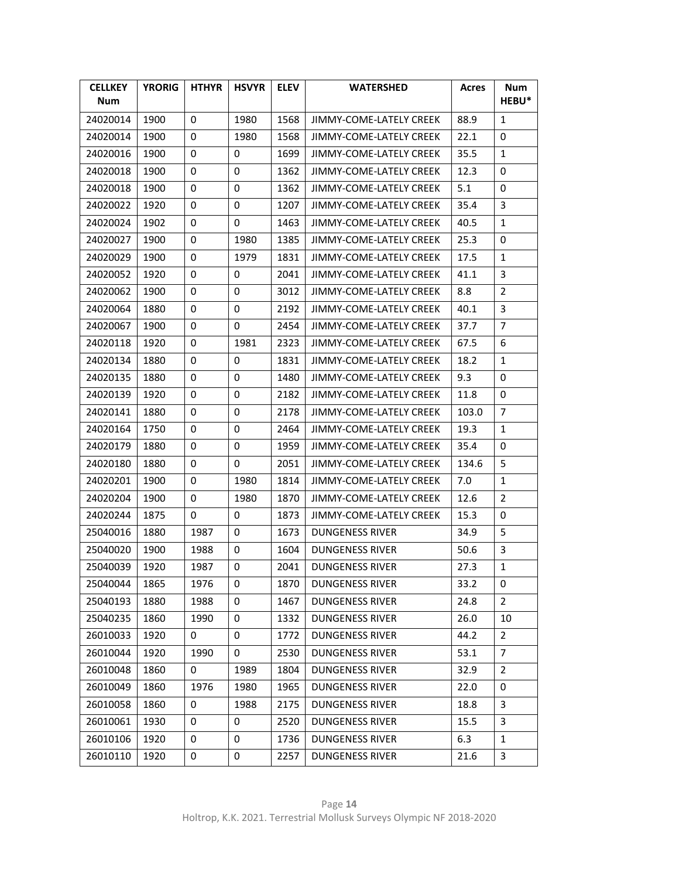| <b>CELLKEY</b><br><b>Num</b> | <b>YRORIG</b> | <b>HTHYR</b> | <b>HSVYR</b> | <b>ELEV</b> | <b>WATERSHED</b>        | <b>Acres</b> | Num<br>HEBU*   |
|------------------------------|---------------|--------------|--------------|-------------|-------------------------|--------------|----------------|
| 24020014                     | 1900          | 0            | 1980         | 1568        | JIMMY-COME-LATELY CREEK | 88.9         | 1              |
| 24020014                     | 1900          | 0            | 1980         | 1568        | JIMMY-COME-LATELY CREEK | 22.1         | 0              |
| 24020016                     | 1900          | 0            | 0            | 1699        | JIMMY-COME-LATELY CREEK | 35.5         | 1              |
| 24020018                     | 1900          | 0            | 0            | 1362        | JIMMY-COME-LATELY CREEK | 12.3         | 0              |
| 24020018                     | 1900          | 0            | 0            | 1362        | JIMMY-COME-LATELY CREEK | 5.1          | 0              |
| 24020022                     | 1920          | 0            | 0            | 1207        | JIMMY-COME-LATELY CREEK | 35.4         | 3              |
| 24020024                     | 1902          | 0            | 0            | 1463        | JIMMY-COME-LATELY CREEK | 40.5         | 1              |
| 24020027                     | 1900          | 0            | 1980         | 1385        | JIMMY-COME-LATELY CREEK | 25.3         | 0              |
| 24020029                     | 1900          | 0            | 1979         | 1831        | JIMMY-COME-LATELY CREEK | 17.5         | $\mathbf{1}$   |
| 24020052                     | 1920          | 0            | 0            | 2041        | JIMMY-COME-LATELY CREEK | 41.1         | 3              |
| 24020062                     | 1900          | 0            | 0            | 3012        | JIMMY-COME-LATELY CREEK | 8.8          | 2              |
| 24020064                     | 1880          | 0            | 0            | 2192        | JIMMY-COME-LATELY CREEK | 40.1         | 3              |
| 24020067                     | 1900          | 0            | 0            | 2454        | JIMMY-COME-LATELY CREEK | 37.7         | 7              |
| 24020118                     | 1920          | 0            | 1981         | 2323        | JIMMY-COME-LATELY CREEK | 67.5         | 6              |
| 24020134                     | 1880          | 0            | 0            | 1831        | JIMMY-COME-LATELY CREEK | 18.2         | 1              |
| 24020135                     | 1880          | 0            | 0            | 1480        | JIMMY-COME-LATELY CREEK | 9.3          | 0              |
| 24020139                     | 1920          | 0            | 0            | 2182        | JIMMY-COME-LATELY CREEK | 11.8         | 0              |
| 24020141                     | 1880          | 0            | 0            | 2178        | JIMMY-COME-LATELY CREEK | 103.0        | 7              |
| 24020164                     | 1750          | 0            | 0            | 2464        | JIMMY-COME-LATELY CREEK | 19.3         | 1              |
| 24020179                     | 1880          | 0            | 0            | 1959        | JIMMY-COME-LATELY CREEK | 35.4         | 0              |
| 24020180                     | 1880          | 0            | 0            | 2051        | JIMMY-COME-LATELY CREEK | 134.6        | 5              |
| 24020201                     | 1900          | 0            | 1980         | 1814        | JIMMY-COME-LATELY CREEK | 7.0          | $\mathbf{1}$   |
| 24020204                     | 1900          | 0            | 1980         | 1870        | JIMMY-COME-LATELY CREEK | 12.6         | 2              |
| 24020244                     | 1875          | 0            | 0            | 1873        | JIMMY-COME-LATELY CREEK | 15.3         | 0              |
| 25040016                     | 1880          | 1987         | 0            | 1673        | DUNGENESS RIVER         | 34.9         | 5              |
| 25040020                     | 1900          | 1988         | 0            | 1604        | <b>DUNGENESS RIVER</b>  | 50.6         | 3              |
| 25040039                     | 1920          | 1987         | 0            | 2041        | <b>DUNGENESS RIVER</b>  | 27.3         | $\mathbf{1}$   |
| 25040044                     | 1865          | 1976         | 0            | 1870        | <b>DUNGENESS RIVER</b>  | 33.2         | 0              |
| 25040193                     | 1880          | 1988         | 0            | 1467        | <b>DUNGENESS RIVER</b>  | 24.8         | $\overline{2}$ |
| 25040235                     | 1860          | 1990         | 0            | 1332        | <b>DUNGENESS RIVER</b>  | 26.0         | 10             |
| 26010033                     | 1920          | 0            | 0            | 1772        | <b>DUNGENESS RIVER</b>  | 44.2         | $\overline{2}$ |
| 26010044                     | 1920          | 1990         | 0            | 2530        | <b>DUNGENESS RIVER</b>  | 53.1         | 7              |
| 26010048                     | 1860          | 0            | 1989         | 1804        | <b>DUNGENESS RIVER</b>  | 32.9         | $\overline{2}$ |
| 26010049                     | 1860          | 1976         | 1980         | 1965        | <b>DUNGENESS RIVER</b>  | 22.0         | 0              |
| 26010058                     | 1860          | 0            | 1988         | 2175        | <b>DUNGENESS RIVER</b>  | 18.8         | 3              |
| 26010061                     | 1930          | 0            | 0            | 2520        | <b>DUNGENESS RIVER</b>  | 15.5         | 3              |
| 26010106                     | 1920          | 0            | 0            | 1736        | <b>DUNGENESS RIVER</b>  | 6.3          | 1              |
| 26010110                     | 1920          | 0            | 0            | 2257        | <b>DUNGENESS RIVER</b>  | 21.6         | 3              |